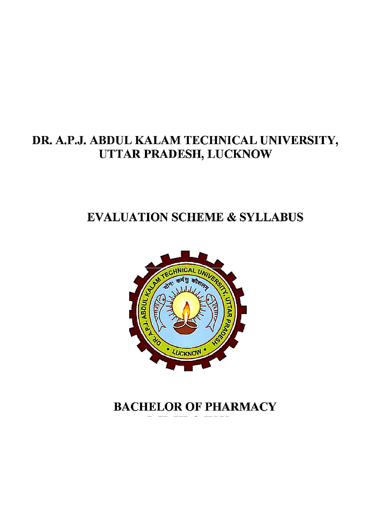# DR. A.P.J. ABDUL KALAM TECHNICAL UNIVERSITY, UTTAR PRADESH, LUCKNOW

# **EVALUATION SCHEME & SYLLABUS**



# **BACHELOR OF PHARMACY**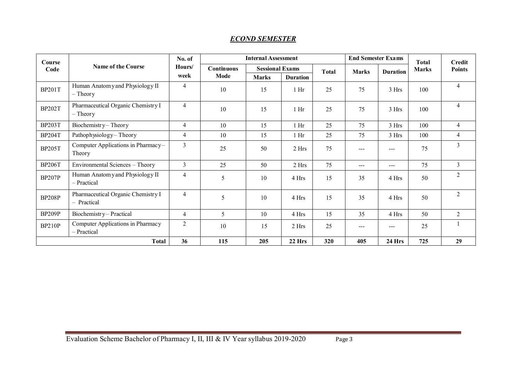#### *ECOND SEMESTER*

| Course<br>Code     | <b>Name of the Course</b>                         | No. of<br>Hours/<br>week | <b>Internal Assessment</b> |                        |                 |              | <b>End Semester Exams</b> |                        | Total        | <b>Credit</b>  |
|--------------------|---------------------------------------------------|--------------------------|----------------------------|------------------------|-----------------|--------------|---------------------------|------------------------|--------------|----------------|
|                    |                                                   |                          | <b>Continuous</b>          | <b>Sessional Exams</b> |                 | <b>Total</b> | <b>Marks</b>              | <b>Duration</b>        | <b>Marks</b> | <b>Points</b>  |
|                    |                                                   |                          | Mode                       | <b>Marks</b>           | <b>Duration</b> |              |                           |                        |              |                |
| <b>BP201T</b>      | Human Anatomy and Physiology II<br>$-$ Theory     | $\overline{4}$           | 10                         | 15                     | 1 <sub>hr</sub> | 25           | 75                        | 3 Hrs                  | 100          | $\overline{4}$ |
| <b>BP202T</b>      | Pharmaceutical Organic Chemistry I<br>$-$ Theory  | $\overline{4}$           | 10                         | 15                     | 1 <sub>hr</sub> | 25           | 75                        | 3 Hrs                  | 100          | $\overline{4}$ |
| <b>BP203T</b>      | Biochemistry-Theory                               | $\overline{4}$           | 10                         | 15                     | $1$ Hr          | 25           | 75                        | 3 Hrs                  | 100          | $\overline{4}$ |
| <b>BP204T</b>      | Pathophysiology-Theory                            | 4                        | 10                         | 15                     | 1 <sub>hr</sub> | 25           | 75                        | 3 Hrs                  | 100          | $\overline{4}$ |
| <b>BP205T</b>      | Computer Applications in Pharmacy-<br>Theory      | $\overline{3}$           | 25                         | 50                     | 2 Hrs           | 75           | $---$                     | $---$                  | 75           | $\overline{3}$ |
| <b>BP206T</b>      | Environmental Sciences - Theory                   | 3                        | 25                         | 50                     | 2 Hrs           | 75           | $--$                      | $\qquad \qquad \cdots$ | 75           | $\mathfrak{Z}$ |
| <b>BP207P</b>      | Human Anatomy and Physiology II<br>- Practical    | $\overline{4}$           | 5                          | 10                     | 4 Hrs           | 15           | 35                        | 4 Hrs                  | 50           | $\overline{2}$ |
| <b>BP208P</b>      | Pharmaceutical Organic Chemistry I<br>- Practical | $\overline{4}$           | 5                          | 10                     | 4 Hrs           | 15           | 35                        | 4 Hrs                  | 50           | $\overline{2}$ |
| BP <sub>209P</sub> | Biochemistry-Practical                            | $\overline{4}$           | 5                          | 10                     | 4 Hrs           | 15           | 35                        | 4 Hrs                  | 50           | $\overline{2}$ |
| <b>BP210P</b>      | Computer Applications in Pharmacy<br>- Practical  | $\overline{2}$           | 10                         | 15                     | 2 Hrs           | 25           | $---$                     | $---$                  | 25           |                |
|                    | <b>Total</b>                                      | 36                       | 115                        | 205                    | 22 Hrs          | 320          | 405                       | 24 Hrs                 | 725          | 29             |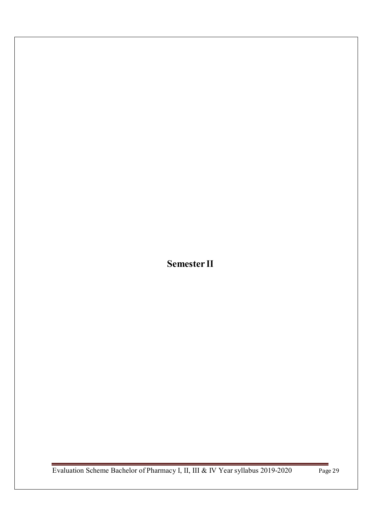**Semester II**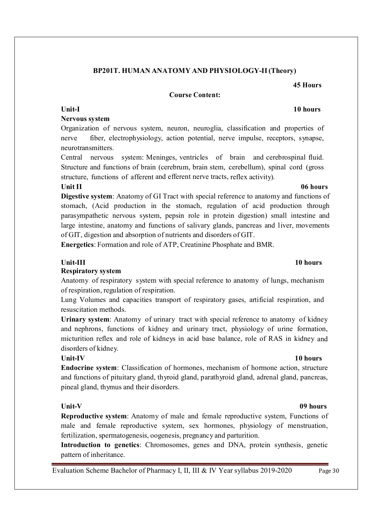### **BP201T. HUMAN ANATOMY AND PHYSIOLOGY-II (Theory)**

#### **Course Content:**

#### **Unit-I 10 hours**

#### **Nervous system**

Organization of nervous system, neuron, neuroglia, classification and properties of nerve fiber, electrophysiology, action potential, nerve impulse, receptors, synapse, neurotransmitters.

Central nervous system: Meninges, ventricles of brain and cerebrospinal fluid. Structure and functions of brain (cerebrum, brain stem, cerebellum), spinal cord (gross structure, functions of afferent and efferent nerve tracts, reflex activity).

#### **Unit II 06 hours**

**Digestive system**: Anatomy of GI Tract with special reference to anatomy and functions of stomach, (Acid production in the stomach, regulation of acid production through parasympathetic nervous system, pepsin role in protein digestion) small intestine and large intestine, anatomy and functions of salivary glands, pancreas and liver, movements of GIT, digestion and absorption of nutrients and disorders of GIT.

**Energetics**: Formation and role of ATP, Creatinine Phosphate and BMR.

#### **Unit-III** 10 hours

#### **Respiratory system**

Anatomy of respiratory system with special reference to anatomy of lungs, mechanism of respiration, regulation of respiration.

Lung Volumes and capacities transport of respiratory gases, artificial respiration, and resuscitation methods.

**Urinary system**: Anatomy of urinary tract with special reference to anatomy of kidney and nephrons, functions of kidney and urinary tract, physiology of urine formation, micturition reflex and role of kidneys in acid base balance, role of RAS in kidney and disorders of kidney.

**Endocrine system**: Classification of hormones, mechanism of hormone action, structure and functions of pituitary gland, thyroid gland, parathyroid gland, adrenal gland, pancreas, pineal gland, thymus and their disorders.

### **Unit-V 09 hours**

**Reproductive system**: Anatomy of male and female reproductive system, Functions of male and female reproductive system, sex hormones, physiology of menstruation, fertilization, spermatogenesis, oogenesis, pregnancy and parturition.

**Introduction to genetics**: Chromosomes, genes and DNA, protein synthesis, genetic pattern of inheritance.

Evaluation Scheme Bachelor of Pharmacy I, II, III & IV Year syllabus 2019-2020 Page 30

### **Unit-IV 10 hours**

# **45 Hours**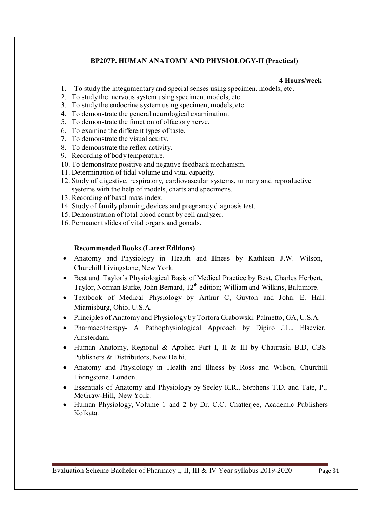### **BP207P. HUMAN ANATOMY AND PHYSIOLOGY-II (Practical)**

#### **4 Hours/week**

- 1. To study the integumentary and special senses using specimen, models, etc.
- 2. To study the nervous system using specimen, models, etc.
- 3. To study the endocrine system using specimen, models, etc.
- 4. To demonstrate the general neurological examination.
- 5. To demonstrate the function of olfactory nerve.
- 6. To examine the different types of taste.
- 7. To demonstrate the visual acuity.
- 8. To demonstrate the reflex activity.
- 9. Recording of body temperature.
- 10. To demonstrate positive and negative feedback mechanism.
- 11. Determination of tidal volume and vital capacity.
- 12. Study of digestive, respiratory, cardiovascular systems, urinary and reproductive systems with the help of models, charts and specimens.
- 13. Recording of basal mass index.
- 14. Study of family planning devices and pregnancy diagnosis test.
- 15. Demonstration of total blood count by cell analyzer.
- 16. Permanent slides of vital organs and gonads.

#### **Recommended Books (Latest Editions)**

- Anatomy and Physiology in Health and Illness by Kathleen J.W. Wilson, Churchill Livingstone, New York.
- Best and Taylor's Physiological Basis of Medical Practice by Best, Charles Herbert, Taylor, Norman Burke, John Bernard,  $12<sup>th</sup>$  edition; William and Wilkins, Baltimore.
- Textbook of Medical Physiology by Arthur C, Guyton and John. E. Hall. Miamisburg, Ohio, U.S.A.
- Principles of Anatomy and Physiology by Tortora Grabowski. Palmetto, GA, U.S.A.
- Pharmacotherapy- A Pathophysiological Approach by Dipiro J.L., Elsevier, Amsterdam.
- Human Anatomy, Regional & Applied Part I, II & III by Chaurasia B.D, CBS Publishers & Distributors, New Delhi.
- Anatomy and Physiology in Health and Illness by Ross and Wilson, Churchill Livingstone, London.
- Essentials of Anatomy and Physiology by Seeley R.R., Stephens T.D. and Tate, P., McGraw-Hill, New York.
- Human Physiology, Volume 1 and 2 by Dr. C.C. Chatterjee, Academic Publishers Kolkata.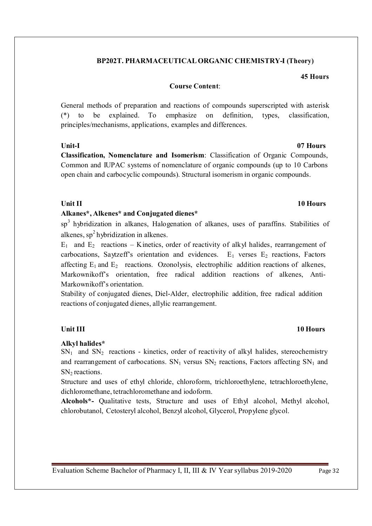### **BP202T. PHARMACEUTICAL ORGANIC CHEMISTRY-I (Theory)**

**45 Hours**

#### **Course Content**:

General methods of preparation and reactions of compounds superscripted with asterisk (\*) to be explained. To emphasize on definition, types, classification, principles/mechanisms, applications, examples and differences.

#### **Unit-I 07 Hours**

**Classification, Nomenclature and Isomerism**: Classification of Organic Compounds, Common and IUPAC systems of nomenclature of organic compounds (up to 10 Carbons open chain and carbocyclic compounds). Structural isomerism in organic compounds.

#### **Unit II** 10 Hours

#### **Alkanes\*, Alkenes\* and Conjugated dienes\***

sp<sup>3</sup> hybridization in alkanes, Halogenation of alkanes, uses of paraffins. Stabilities of alkenes,  $sp^2$  hybridization in alkenes.

 $E_1$  and  $E_2$  reactions – Kinetics, order of reactivity of alkyl halides, rearrangement of carbocations, Saytzeff's orientation and evidences.  $E_1$  verses  $E_2$  reactions, Factors affecting  $E_1$  and  $E_2$  reactions. Ozonolysis, electrophilic addition reactions of alkenes, Markownikoff's orientation, free radical addition reactions of alkenes, Anti-Markownikoff's orientation.

Stability of conjugated dienes, Diel-Alder, electrophilic addition, free radical addition reactions of conjugated dienes, allylic rearrangement.

#### **Alkyl halides\***

 $SN<sub>1</sub>$  and  $SN<sub>2</sub>$  reactions - kinetics, order of reactivity of alkyl halides, stereochemistry and rearrangement of carbocations.  $SN_1$  versus  $SN_2$  reactions, Factors affecting  $SN_1$  and SN<sub>2</sub> reactions.

Structure and uses of ethyl chloride, chloroform, trichloroethylene, tetrachloroethylene, dichloromethane, tetrachloromethane and iodoform.

 **Alcohols\*-** Qualitative tests, Structure and uses of Ethyl alcohol, Methyl alcohol, chlorobutanol, Cetosteryl alcohol, Benzyl alcohol, Glycerol, Propylene glycol.

### **Unit III** 10 Hours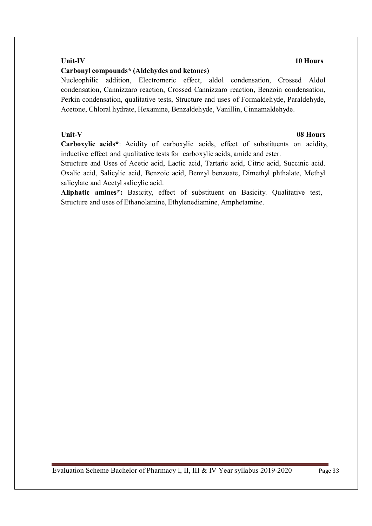### **Unit-IV 10 Hours**

#### **Carbonyl compounds\* (Aldehydes and ketones)**

Nucleophilic addition, Electromeric effect, aldol condensation, Crossed Aldol condensation, Cannizzaro reaction, Crossed Cannizzaro reaction, Benzoin condensation, Perkin condensation, qualitative tests, Structure and uses of Formaldehyde, Paraldehyde, Acetone, Chloral hydrate, Hexamine, Benzaldehyde, Vanillin, Cinnamaldehyde.

#### **Unit-V 08 Hours**

**Carboxylic acids\***: Acidity of carboxylic acids, effect of substituents on acidity, inductive effect and qualitative tests for carboxylic acids, amide and ester.

Structure and Uses of Acetic acid, Lactic acid, Tartaric acid, Citric acid, Succinic acid. Oxalic acid, Salicylic acid, Benzoic acid, Benzyl benzoate, Dimethyl phthalate, Methyl salicylate and Acetyl salicylic acid.

**Aliphatic amines\*:** Basicity, effect of substituent on Basicity. Qualitative test, Structure and uses of Ethanolamine, Ethylenediamine, Amphetamine.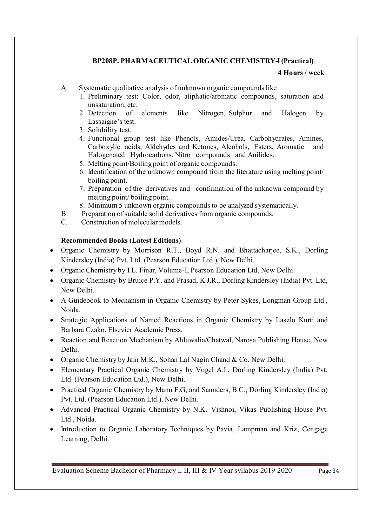### **BP208P. PHARMACEUTICAL ORGANIC CHEMISTRY-I (Practical)**

#### **4 Hours / week**

- A. Systematic qualitative analysis of unknown organic compounds like
	- 1. Preliminary test: Color, odor, aliphatic/aromatic compounds, saturation and unsaturation, etc.
	- 2. Detection of elements like Nitrogen, Sulphur and Halogen by Lassaigne's test.
	- 3. Solubility test.
	- 4. Functional group test like Phenols, Amides/Urea, Carbohydrates, Amines, Carboxylic acids, Aldehydes and Ketones, Alcohols, Esters, Aromatic and Halogenated Hydrocarbons, Nitro compounds and Anilides.
	- 5. Melting point/Boiling point of organic compounds.
	- 6. Identification of the unknown compound from the literature using melting point/ boiling point.
	- 7. Preparation of the derivatives and confirmation of the unknown compound by melting point/ boiling point.
	- 8. Minimum 5 unknown organic compounds to be analyzed systematically.
- B. Preparation of suitable solid derivatives from organic compounds.
- C. Construction of molecular models.

#### **Recommended Books (Latest Editions)**

- Organic Chemistry by Morrison R.T., Boyd R.N. and Bhattacharjee, S.K., Dorling Kindersley (India) Pvt. Ltd. (Pearson Education Ltd.), New Delhi.
- Organic Chemistry by I.L. Finar, Volume-I, Pearson Education Ltd, New Delhi.
- Organic Chemistry by Bruice P.Y. and Prasad, K.J.R., Dorling Kindersley (India) Pvt. Ltd, New Delhi.
- A Guidebook to Mechanism in Organic Chemistry by Peter Sykes, Longman Group Ltd., Noida.
- Strategic Applications of Named Reactions in Organic Chemistry by Laszlo Kurti and Barbara Czako, Elsevier Academic Press.
- Reaction and Reaction Mechanism by Ahluwalia/Chatwal, Narosa Publishing House, New Delhi.
- Organic Chemistry by Jain M.K., Sohan Lal Nagin Chand & Co, New Delhi.
- Elementary Practical Organic Chemistry by Vogel A.I., Dorling Kindersley (India) Pvt. Ltd. (Pearson Education Ltd.), New Delhi.
- Practical Organic Chemistry by Mann F.G, and Saunders, B.C., Dorling Kindersley (India) Pvt. Ltd. (Pearson Education Ltd.), New Delhi.
- Advanced Practical Organic Chemistry by N.K. Vishnoi, Vikas Publishing House Pvt. Ltd., Noida.
- Introduction to Organic Laboratory Techniques by Pavia, Lampman and Kriz, Cengage Learning, Delhi.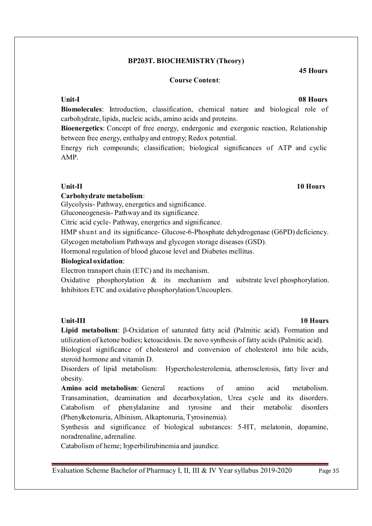#### **BP203T. BIOCHEMISTRY (Theory)**

#### **Course Content**:

#### **Unit-I 08 Hours**

**Biomolecules**: Introduction, classification, chemical nature and biological role of carbohydrate, lipids, nucleic acids, amino acids and proteins.

**Bioenergetics**: Concept of free energy, endergonic and exergonic reaction, Relationship between free energy, enthalpy and entropy; Redox potential.

Energy rich compounds; classification; biological significances of ATP and cyclic AMP.

#### **Carbohydrate metabolism**:

Glycolysis- Pathway, energetics and significance.

Gluconeogenesis- Pathway and its significance.

Citric acid cycle- Pathway, energetics and significance.

HMP shunt and its significance- Glucose-6-Phosphate dehydrogenase (G6PD) deficiency. Glycogen metabolism Pathways and glycogen storage diseases (GSD).

Hormonal regulation of blood glucose level and Diabetes mellitus.

### **Biological oxidation**:

Electron transport chain (ETC) and its mechanism.

Oxidative phosphorylation & its mechanism and substrate level phosphorylation. Inhibitors ETC and oxidative phosphorylation/Uncouplers.

**Lipid metabolism**: β-Oxidation of saturated fatty acid (Palmitic acid). Formation and utilization of ketone bodies; ketoacidosis. De novo synthesis of fatty acids (Palmitic acid).

Biological significance of cholesterol and conversion of cholesterol into bile acids, steroid hormone and vitamin D.

Disorders of lipid metabolism: Hypercholesterolemia, atherosclerosis, fatty liver and obesity.

**Amino acid metabolism**: General reactions of amino acid metabolism. Transamination, deamination and decarboxylation, Urea cycle and its disorders. Catabolism of phenylalanine and tyrosine and their metabolic disorders (Phenylketonuria, Albinism, Alkaptonuria, Tyrosinemia).

Synthesis and significance of biological substances: 5-HT, melatonin, dopamine, noradrenaline, adrenaline.

Catabolism of heme; hyperbilirubinemia and jaundice.

Evaluation Scheme Bachelor of Pharmacy I, II, III & IV Year syllabus 2019-2020 Page 35

### **Unit-III 10 Hours**

**Unit-II 10 Hours**

### **45 Hours**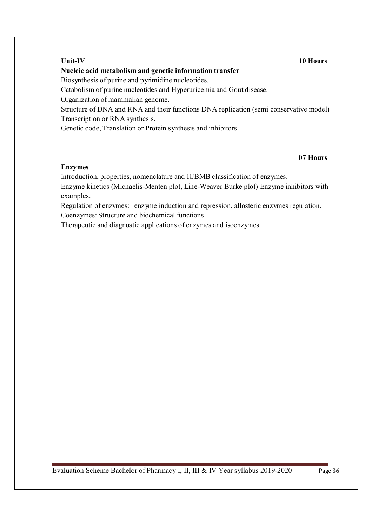### **Nucleic acid metabolism and genetic information transfer**

Biosynthesis of purine and pyrimidine nucleotides.

Catabolism of purine nucleotides and Hyperuricemia and Gout disease.

Organization of mammalian genome.

Structure of DNA and RNA and their functions DNA replication (semi conservative model) Transcription or RNA synthesis.

Genetic code, Translation or Protein synthesis and inhibitors.

#### **07 Hours**

#### **Enzymes**

Introduction, properties, nomenclature and IUBMB classification of enzymes.

Enzyme kinetics (Michaelis-Menten plot, Line-Weaver Burke plot) Enzyme inhibitors with examples.

Regulation of enzymes: enzyme induction and repression, allosteric enzymes regulation. Coenzymes: Structure and biochemical functions.

Therapeutic and diagnostic applications of enzymes and isoenzymes.

Evaluation Scheme Bachelor of Pharmacy I, II, III & IV Year syllabus 2019-2020 Page 36

#### **Unit-IV 10 Hours**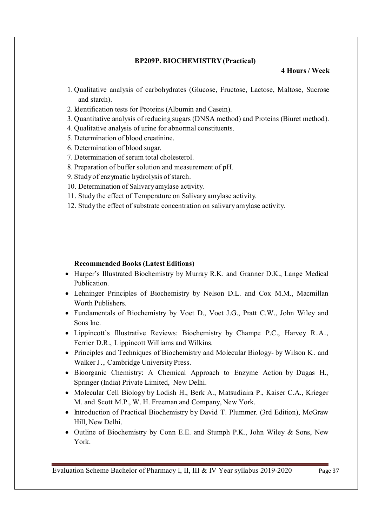#### **BP209P. BIOCHEMISTRY (Practical)**

#### **4 Hours / Week**

- 1. Qualitative analysis of carbohydrates (Glucose, Fructose, Lactose, Maltose, Sucrose and starch).
- 2. Identification tests for Proteins (Albumin and Casein).
- 3. Quantitative analysis of reducing sugars (DNSA method) and Proteins (Biuret method).
- 4. Qualitative analysis of urine for abnormal constituents.
- 5. Determination of blood creatinine.
- 6. Determination of blood sugar.
- 7. Determination of serum total cholesterol.
- 8. Preparation of buffer solution and measurement of pH.
- 9. Study of enzymatic hydrolysis of starch.
- 10. Determination of Salivary amylase activity.
- 11. Study the effect of Temperature on Salivary amylase activity.
- 12. Study the effect of substrate concentration on salivary amylase activity.

#### **Recommended Books (Latest Editions)**

- Harper's Illustrated Biochemistry by Murray R.K. and Granner D.K., Lange Medical Publication.
- Lehninger Principles of Biochemistry by Nelson D.L. and Cox M.M., Macmillan Worth Publishers.
- Fundamentals of Biochemistry by Voet D., Voet J.G., Pratt C.W., John Wiley and Sons Inc.
- Lippincott's Illustrative Reviews: Biochemistry by Champe P.C., Harvey R.A., Ferrier D.R., Lippincott Williams and Wilkins.
- Principles and Techniques of Biochemistry and Molecular Biology- by Wilson K. and Walker J., Cambridge University Press.
- Bioorganic Chemistry: A Chemical Approach to Enzyme Action by Dugas H., Springer (India) Private Limited, New Delhi.
- Molecular Cell Biology by Lodish H., Berk A., Matsudiaira P., Kaiser C.A., Krieger M. and Scott M.P., W. H. Freeman and Company, New York.
- Introduction of Practical Biochemistry by David T. Plummer. (3rd Edition), McGraw Hill, New Delhi.
- Outline of Biochemistry by Conn E.E. and Stumph P.K., John Wiley & Sons, New York.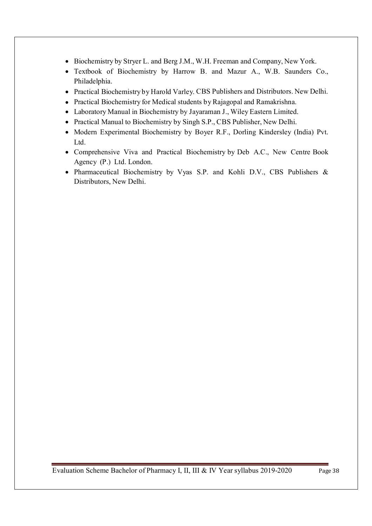- Biochemistry by Stryer L. and Berg J.M., W.H. Freeman and Company, New York.
- Textbook of Biochemistry by Harrow B. and Mazur A., W.B. Saunders Co., Philadelphia.
- Practical Biochemistry by Harold Varley. CBS Publishers and Distributors. New Delhi.
- Practical Biochemistry for Medical students by Rajagopal and Ramakrishna.
- Laboratory Manual in Biochemistry by Jayaraman J., Wiley Eastern Limited.
- Practical Manual to Biochemistry by Singh S.P., CBS Publisher, New Delhi.
- Modern Experimental Biochemistry by Boyer R.F., Dorling Kindersley (India) Pvt. Ltd.
- Comprehensive Viva and Practical Biochemistry by Deb A.C., New Centre Book Agency (P.) Ltd. London.
- Pharmaceutical Biochemistry by Vyas S.P. and Kohli D.V., CBS Publishers & Distributors, New Delhi.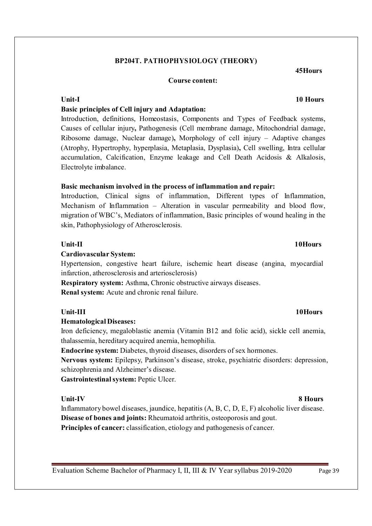#### **BP204T. PATHOPHYSIOLOGY (THEORY)**

#### **Course content:**

### **Basic principles of Cell injury and Adaptation:**

Introduction, definitions, Homeostasis, Components and Types of Feedback systems, Causes of cellular injury**,** Pathogenesis (Cell membrane damage, Mitochondrial damage, Ribosome damage, Nuclear damage)**,** Morphology of cell injury – Adaptive changes (Atrophy, Hypertrophy, hyperplasia, Metaplasia, Dysplasia)**,** Cell swelling, Intra cellular accumulation, Calcification, Enzyme leakage and Cell Death Acidosis & Alkalosis, Electrolyte imbalance.

#### **Basic mechanism involved in the process of inflammation and repair:**

Introduction, Clinical signs of inflammation, Different types of Inflammation, Mechanism of Inflammation – Alteration in vascular permeability and blood flow, migration of WBC's, Mediators of inflammation, Basic principles of wound healing in the skin, Pathophysiology of Atherosclerosis.

#### **Unit-II 10Hours**

#### **Cardiovascular System:**

Hypertension, congestive heart failure, ischemic heart disease (angina, myocardial infarction, atherosclerosis and arteriosclerosis)

**Respiratory system:** Asthma, Chronic obstructive airways diseases. **Renal system:** Acute and chronic renal failure.

#### **Hematological Diseases:**

Iron deficiency, megaloblastic anemia (Vitamin B12 and folic acid), sickle cell anemia, thalassemia, hereditary acquired anemia, hemophilia.

**Endocrine system:** Diabetes, thyroid diseases, disorders of sex hormones.

**Nervous system:** Epilepsy, Parkinson's disease, stroke, psychiatric disorders: depression, schizophrenia and Alzheimer's disease.

**Gastrointestinal system:** Peptic Ulcer.

#### **Unit-IV 8 Hours**

Inflammatory bowel diseases, jaundice, hepatitis (A, B, C, D, E, F) alcoholic liver disease. **Disease of bones and joints:** Rheumatoid arthritis, osteoporosis and gout. **Principles of cancer:** classification, etiology and pathogenesis of cancer.

Evaluation Scheme Bachelor of Pharmacy I, II, III & IV Year syllabus 2019-2020 Page 39

## **Unit-I 10 Hours**

**45Hours** 

### Unit-III 10Hours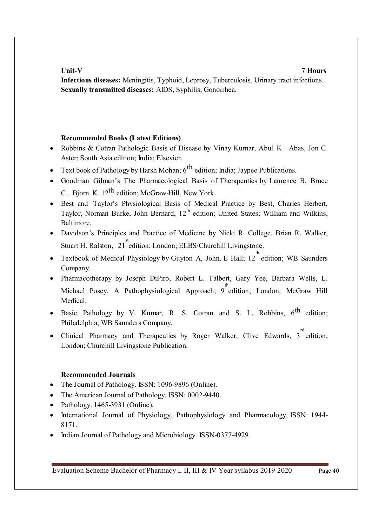### **Unit-V 7 Hours**

**Infectious diseases:** Meningitis, Typhoid, Leprosy, Tuberculosis, Urinary tract infections. **Sexually transmitted diseases:** AIDS, Syphilis, Gonorrhea.

### **Recommended Books (Latest Editions)**

- Robbins & Cotran Pathologic Basis of Disease by Vinay Kumar, Abul K. Abas, Jon C. Aster; South Asia edition; India; Elsevier.
- Text book of Pathology by Harsh Mohan;  $6<sup>th</sup>$  edition; India; Jaypee Publications.
- Goodman Gilman's The Pharmacological Basis of Therapeutics by Laurence B, Bruce C., Bjorn K.  $12<sup>th</sup>$  edition; McGraw-Hill, New York.
- Best and Taylor's Physiological Basis of Medical Practice by Best, Charles Herbert, Taylor, Norman Burke, John Bernard, 12<sup>th</sup> edition; United States; William and Wilkins, Baltimore.
- Davidson's Principles and Practice of Medicine by Nicki R. College, Brian R. Walker, Stuart H. Ralston, 21<sup>st</sup> edition; London; ELBS/Churchill Livingstone.
- Textbook of Medical Physiology by Guyton A, John. E Hall;  $12^{th}$  edition; WB Saunders Company.
- Pharmacotherapy by Joseph DiPiro, Robert L. Talbert, Gary Yee, Barbara Wells, L. Michael Posey, A Pathophysiological Approach; 9 edition; London; McGraw Hill Medical.
- Basic Pathology by V. Kumar, R. S. Cotran and S. L. Robbins,  $6^{th}$  edition; Philadelphia; WB Saunders Company.
- Clinical Pharmacy and Therapeutics by Roger Walker, Clive Edwards,  $3^{rd}$  edition; London; Churchill Livingstone Publication.

### **Recommended Journals**

- The Journal of Pathology. ISSN: 1096-9896 (Online).
- The American Journal of Pathology. ISSN: 0002-9440.
- Pathology. 1465-3931 (Online).
- International Journal of Physiology, Pathophysiology and Pharmacology, ISSN: 1944- 8171.
- Indian Journal of Pathology and Microbiology. ISSN-0377-4929.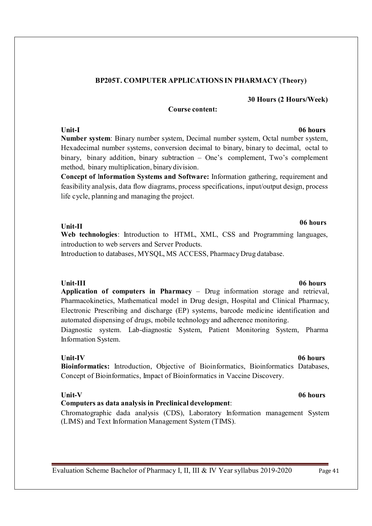### **BP205T. COMPUTER APPLICATIONS IN PHARMACY (Theory)**

#### **30 Hours (2 Hours/Week)**

#### **Course content:**

### **Unit-I 06 hours Number system**: Binary number system, Decimal number system, Octal number system, Hexadecimal number systems, conversion decimal to binary, binary to decimal, octal to binary, binary addition, binary subtraction – One's complement, Two's complement method, binary multiplication, binary division.

**Concept of** I**nformation Systems and Software:** Information gathering, requirement and feasibility analysis, data flow diagrams, process specifications, input/output design, process life cycle, planning and managing the project.

#### **Unit-II**

**Web technologies**: Introduction to HTML, XML, CSS and Programming languages, introduction to web servers and Server Products.

Introduction to databases, MYSQL, MS ACCESS, Pharmacy Drug database.

### **Unit-III 06 hours**

**Application of computers in Pharmacy** – Drug information storage and retrieval, Pharmacokinetics, Mathematical model in Drug design, Hospital and Clinical Pharmacy, Electronic Prescribing and discharge (EP) systems, barcode medicine identification and automated dispensing of drugs, mobile technology and adherence monitoring.

Diagnostic system. Lab-diagnostic System, Patient Monitoring System, Pharma Information System.

**Unit-IV 06 hours Bioinformatics:** Introduction, Objective of Bioinformatics, Bioinformatics Databases, Concept of Bioinformatics, Impact of Bioinformatics in Vaccine Discovery.

### **Computers as data analysis in Preclinical development**:

Chromatographic dada analysis (CDS), Laboratory Information management System (LIMS) and Text Information Management System (TIMS).

# **06 hours**

#### **Unit-V 06 hours**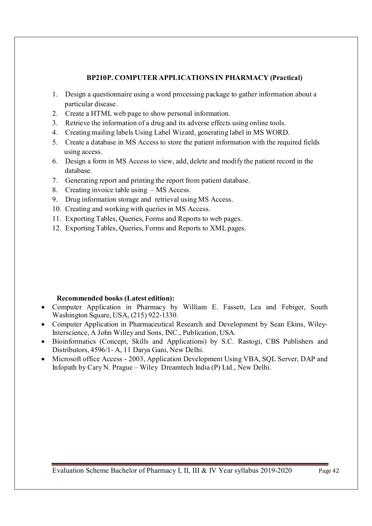### **BP210P. COMPUTER APPLICATIONS IN PHARMACY (Practical)**

- 1. Design a questionnaire using a word processing package to gather information about a particular disease.
- 2. Create a HTML web page to show personal information.
- 3. Retrieve the information of a drug and its adverse effects using online tools.
- 4. Creating mailing labels Using Label Wizard, generating label in MS WORD.
- 5. Create a database in MS Access to store the patient information with the required fields using access.
- 6. Design a form in MS Access to view, add, delete and modify the patient record in the database.
- 7. Generating report and printing the report from patient database.
- 8. Creating invoice table using MS Access.
- 9. Drug information storage and retrieval using MS Access.
- 10. Creating and working with queries in MS Access.
- 11. Exporting Tables, Queries, Forms and Reports to web pages.
- 12. Exporting Tables, Queries, Forms and Reports to XML pages.

### **Recommended books (Latest edition):**

- Computer Application in Pharmacy by William E. Fassett, Lea and Febiger, South Washington Square, USA, (215) 922-1330.
- Computer Application in Pharmaceutical Research and Development by Sean Ekins, Wiley-Interscience, A John Willey and Sons, INC., Publication, USA.
- Bioinformatics (Concept, Skills and Applications) by S.C. Rastogi, CBS Publishers and Distributors, 4596/1- A, 11 Darya Gani, New Delhi.
- Microsoft office Access 2003, Application Development Using VBA, SOL Server, DAP and Infopath by Cary N. Prague – Wiley Dreamtech India (P) Ltd., New Delhi.